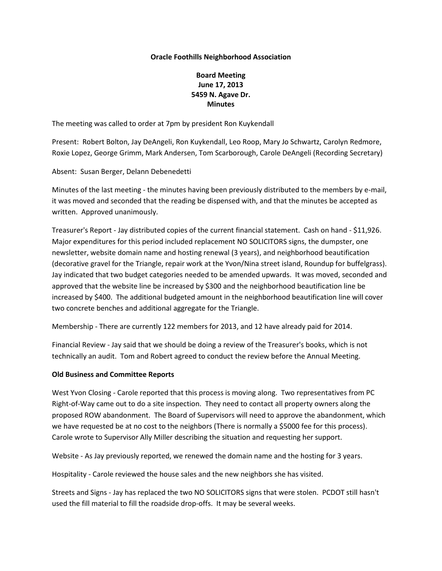#### **Oracle Foothills Neighborhood Association**

# **Board Meeting June 17, 2013 5459 N. Agave Dr. Minutes**

The meeting was called to order at 7pm by president Ron Kuykendall

Present: Robert Bolton, Jay DeAngeli, Ron Kuykendall, Leo Roop, Mary Jo Schwartz, Carolyn Redmore, Roxie Lopez, George Grimm, Mark Andersen, Tom Scarborough, Carole DeAngeli (Recording Secretary)

Absent: Susan Berger, Delann Debenedetti

Minutes of the last meeting - the minutes having been previously distributed to the members by e-mail, it was moved and seconded that the reading be dispensed with, and that the minutes be accepted as written. Approved unanimously.

Treasurer's Report - Jay distributed copies of the current financial statement. Cash on hand - \$11,926. Major expenditures for this period included replacement NO SOLICITORS signs, the dumpster, one newsletter, website domain name and hosting renewal (3 years), and neighborhood beautification (decorative gravel for the Triangle, repair work at the Yvon/Nina street island, Roundup for buffelgrass). Jay indicated that two budget categories needed to be amended upwards. It was moved, seconded and approved that the website line be increased by \$300 and the neighborhood beautification line be increased by \$400. The additional budgeted amount in the neighborhood beautification line will cover two concrete benches and additional aggregate for the Triangle.

Membership - There are currently 122 members for 2013, and 12 have already paid for 2014.

Financial Review - Jay said that we should be doing a review of the Treasurer's books, which is not technically an audit. Tom and Robert agreed to conduct the review before the Annual Meeting.

## **Old Business and Committee Reports**

West Yvon Closing - Carole reported that this process is moving along. Two representatives from PC Right-of-Way came out to do a site inspection. They need to contact all property owners along the proposed ROW abandonment. The Board of Supervisors will need to approve the abandonment, which we have requested be at no cost to the neighbors (There is normally a \$5000 fee for this process). Carole wrote to Supervisor Ally Miller describing the situation and requesting her support.

Website - As Jay previously reported, we renewed the domain name and the hosting for 3 years.

Hospitality - Carole reviewed the house sales and the new neighbors she has visited.

Streets and Signs - Jay has replaced the two NO SOLICITORS signs that were stolen. PCDOT still hasn't used the fill material to fill the roadside drop-offs. It may be several weeks.